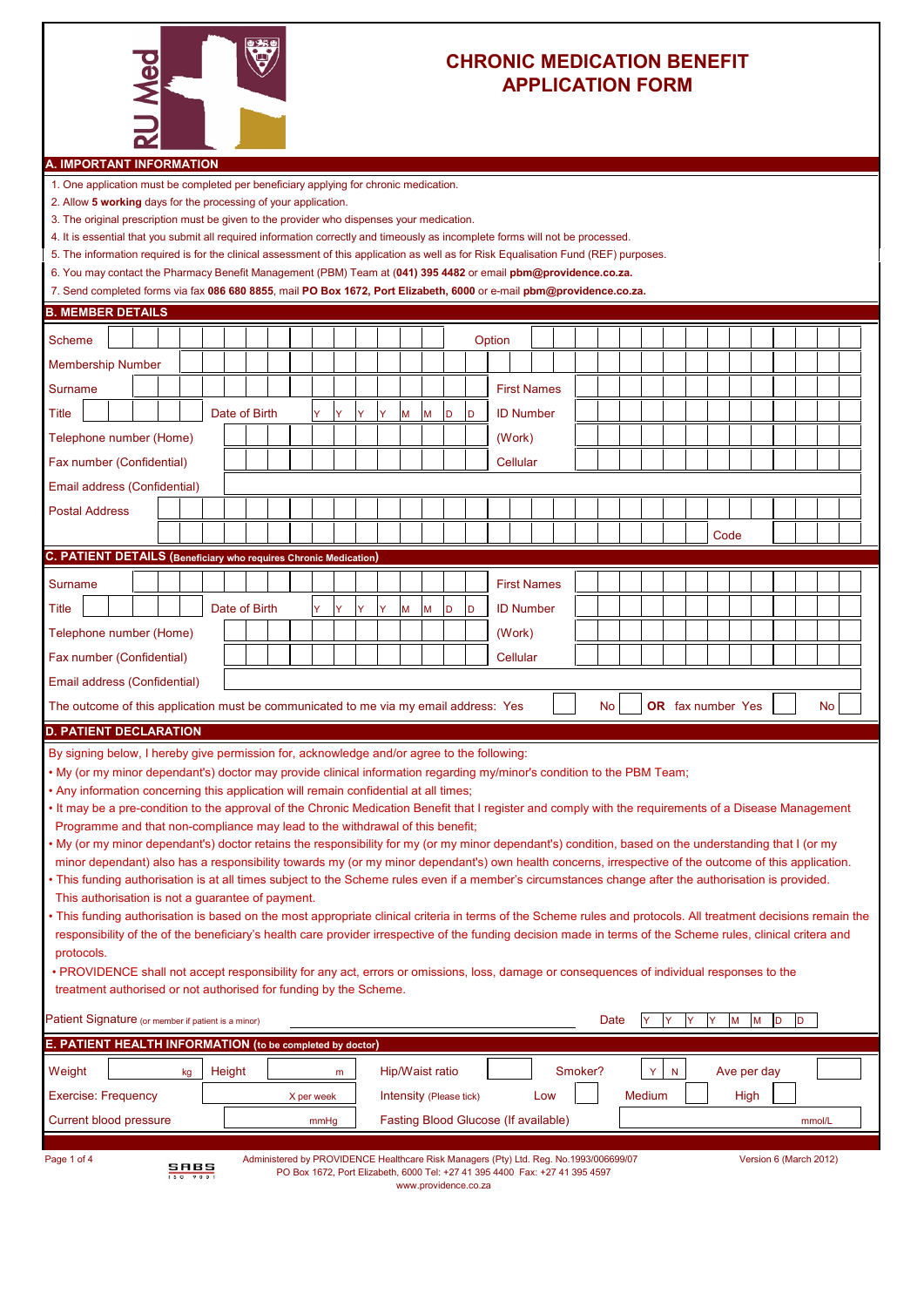

## **CHRONIC MEDICATION BENEFIT APPLICATION FORM**

## **A. IMPORTANT INFORMATION**

1. One application must be completed per beneficiary applying for chronic medication.

- 2. Allow **5 working** days for the processing of your application.
- 3. The original prescription must be given to the provider who dispenses your medication.
- 4. It is essential that you submit all required information correctly and timeously as incomplete forms will not be processed.
- 5. The information required is for the clinical assessment of this application as well as for Risk Equalisation Fund (REF) purposes.
- 6. You may contact the Pharmacy Benefit Management (PBM) Team at (**041) 395 4482** or email **pbm@providence.co.za.**

7. Send completed forms via fax **086 680 8855**, mail **PO Box 1672, Port Elizabeth, 6000** or e-mail **pbm@providence.co.za.**

| <b>B. MEMBER DETAILS</b>                                                                                                                                      |                                                                                                                                                                                                                                                                                                                                                                                                                                                                                                                                                                                                                                                                                                                                                                                                                                                                                                                                                                                                                                                                                                                                                                                                                                                                                                                                                                                                                                                                                                                                                                                       |  |                  |  |               |  |  |  |            |   |   |   |                         |   |   |                      |                                                                                                                                                                      |         |      |        |           |   |   |      |             |   |                        |        |  |
|---------------------------------------------------------------------------------------------------------------------------------------------------------------|---------------------------------------------------------------------------------------------------------------------------------------------------------------------------------------------------------------------------------------------------------------------------------------------------------------------------------------------------------------------------------------------------------------------------------------------------------------------------------------------------------------------------------------------------------------------------------------------------------------------------------------------------------------------------------------------------------------------------------------------------------------------------------------------------------------------------------------------------------------------------------------------------------------------------------------------------------------------------------------------------------------------------------------------------------------------------------------------------------------------------------------------------------------------------------------------------------------------------------------------------------------------------------------------------------------------------------------------------------------------------------------------------------------------------------------------------------------------------------------------------------------------------------------------------------------------------------------|--|------------------|--|---------------|--|--|--|------------|---|---|---|-------------------------|---|---|----------------------|----------------------------------------------------------------------------------------------------------------------------------------------------------------------|---------|------|--------|-----------|---|---|------|-------------|---|------------------------|--------|--|
| Scheme                                                                                                                                                        |                                                                                                                                                                                                                                                                                                                                                                                                                                                                                                                                                                                                                                                                                                                                                                                                                                                                                                                                                                                                                                                                                                                                                                                                                                                                                                                                                                                                                                                                                                                                                                                       |  |                  |  |               |  |  |  |            |   |   |   |                         |   |   |                      | Option                                                                                                                                                               |         |      |        |           |   |   |      |             |   |                        |        |  |
| <b>Membership Number</b>                                                                                                                                      |                                                                                                                                                                                                                                                                                                                                                                                                                                                                                                                                                                                                                                                                                                                                                                                                                                                                                                                                                                                                                                                                                                                                                                                                                                                                                                                                                                                                                                                                                                                                                                                       |  |                  |  |               |  |  |  |            |   |   |   |                         |   |   |                      |                                                                                                                                                                      |         |      |        |           |   |   |      |             |   |                        |        |  |
| Surname                                                                                                                                                       |                                                                                                                                                                                                                                                                                                                                                                                                                                                                                                                                                                                                                                                                                                                                                                                                                                                                                                                                                                                                                                                                                                                                                                                                                                                                                                                                                                                                                                                                                                                                                                                       |  |                  |  |               |  |  |  |            |   |   |   |                         |   |   |                      | <b>First Names</b>                                                                                                                                                   |         |      |        |           |   |   |      |             |   |                        |        |  |
| Title                                                                                                                                                         |                                                                                                                                                                                                                                                                                                                                                                                                                                                                                                                                                                                                                                                                                                                                                                                                                                                                                                                                                                                                                                                                                                                                                                                                                                                                                                                                                                                                                                                                                                                                                                                       |  |                  |  | Date of Birth |  |  |  | Ÿ          | Ÿ | Ÿ | Ÿ | M                       | M | D | D                    | <b>ID Number</b>                                                                                                                                                     |         |      |        |           |   |   |      |             |   |                        |        |  |
| Telephone number (Home)                                                                                                                                       |                                                                                                                                                                                                                                                                                                                                                                                                                                                                                                                                                                                                                                                                                                                                                                                                                                                                                                                                                                                                                                                                                                                                                                                                                                                                                                                                                                                                                                                                                                                                                                                       |  |                  |  |               |  |  |  |            |   |   |   |                         |   |   |                      | (Work)                                                                                                                                                               |         |      |        |           |   |   |      |             |   |                        |        |  |
| Fax number (Confidential)                                                                                                                                     |                                                                                                                                                                                                                                                                                                                                                                                                                                                                                                                                                                                                                                                                                                                                                                                                                                                                                                                                                                                                                                                                                                                                                                                                                                                                                                                                                                                                                                                                                                                                                                                       |  |                  |  |               |  |  |  |            |   |   |   |                         |   |   |                      | Cellular                                                                                                                                                             |         |      |        |           |   |   |      |             |   |                        |        |  |
| Email address (Confidential)                                                                                                                                  |                                                                                                                                                                                                                                                                                                                                                                                                                                                                                                                                                                                                                                                                                                                                                                                                                                                                                                                                                                                                                                                                                                                                                                                                                                                                                                                                                                                                                                                                                                                                                                                       |  |                  |  |               |  |  |  |            |   |   |   |                         |   |   |                      |                                                                                                                                                                      |         |      |        |           |   |   |      |             |   |                        |        |  |
| <b>Postal Address</b>                                                                                                                                         |                                                                                                                                                                                                                                                                                                                                                                                                                                                                                                                                                                                                                                                                                                                                                                                                                                                                                                                                                                                                                                                                                                                                                                                                                                                                                                                                                                                                                                                                                                                                                                                       |  |                  |  |               |  |  |  |            |   |   |   |                         |   |   |                      |                                                                                                                                                                      |         |      |        |           |   |   |      |             |   |                        |        |  |
|                                                                                                                                                               |                                                                                                                                                                                                                                                                                                                                                                                                                                                                                                                                                                                                                                                                                                                                                                                                                                                                                                                                                                                                                                                                                                                                                                                                                                                                                                                                                                                                                                                                                                                                                                                       |  |                  |  |               |  |  |  |            |   |   |   |                         |   |   |                      |                                                                                                                                                                      |         |      |        |           |   |   | Code |             |   |                        |        |  |
|                                                                                                                                                               | C. PATIENT DETAILS (Beneficiary who requires Chronic Medication)                                                                                                                                                                                                                                                                                                                                                                                                                                                                                                                                                                                                                                                                                                                                                                                                                                                                                                                                                                                                                                                                                                                                                                                                                                                                                                                                                                                                                                                                                                                      |  |                  |  |               |  |  |  |            |   |   |   |                         |   |   |                      |                                                                                                                                                                      |         |      |        |           |   |   |      |             |   |                        |        |  |
| <b>Surname</b>                                                                                                                                                |                                                                                                                                                                                                                                                                                                                                                                                                                                                                                                                                                                                                                                                                                                                                                                                                                                                                                                                                                                                                                                                                                                                                                                                                                                                                                                                                                                                                                                                                                                                                                                                       |  |                  |  |               |  |  |  |            |   |   |   |                         |   |   |                      | <b>First Names</b>                                                                                                                                                   |         |      |        |           |   |   |      |             |   |                        |        |  |
| Title                                                                                                                                                         |                                                                                                                                                                                                                                                                                                                                                                                                                                                                                                                                                                                                                                                                                                                                                                                                                                                                                                                                                                                                                                                                                                                                                                                                                                                                                                                                                                                                                                                                                                                                                                                       |  |                  |  | Date of Birth |  |  |  | Ÿ          |   | Ÿ |   | M                       | M | D | D                    | <b>ID Number</b>                                                                                                                                                     |         |      |        |           |   |   |      |             |   |                        |        |  |
| Telephone number (Home)                                                                                                                                       |                                                                                                                                                                                                                                                                                                                                                                                                                                                                                                                                                                                                                                                                                                                                                                                                                                                                                                                                                                                                                                                                                                                                                                                                                                                                                                                                                                                                                                                                                                                                                                                       |  |                  |  |               |  |  |  |            |   |   |   |                         |   |   |                      | (Work)                                                                                                                                                               |         |      |        |           |   |   |      |             |   |                        |        |  |
| Fax number (Confidential)                                                                                                                                     |                                                                                                                                                                                                                                                                                                                                                                                                                                                                                                                                                                                                                                                                                                                                                                                                                                                                                                                                                                                                                                                                                                                                                                                                                                                                                                                                                                                                                                                                                                                                                                                       |  |                  |  |               |  |  |  |            |   |   |   |                         |   |   |                      | Cellular                                                                                                                                                             |         |      |        |           |   |   |      |             |   |                        |        |  |
|                                                                                                                                                               |                                                                                                                                                                                                                                                                                                                                                                                                                                                                                                                                                                                                                                                                                                                                                                                                                                                                                                                                                                                                                                                                                                                                                                                                                                                                                                                                                                                                                                                                                                                                                                                       |  |                  |  |               |  |  |  |            |   |   |   |                         |   |   |                      |                                                                                                                                                                      |         |      |        |           |   |   |      |             |   |                        |        |  |
| Email address (Confidential)<br>OR fax number Yes<br>The outcome of this application must be communicated to me via my email address: Yes<br>No.<br><b>No</b> |                                                                                                                                                                                                                                                                                                                                                                                                                                                                                                                                                                                                                                                                                                                                                                                                                                                                                                                                                                                                                                                                                                                                                                                                                                                                                                                                                                                                                                                                                                                                                                                       |  |                  |  |               |  |  |  |            |   |   |   |                         |   |   |                      |                                                                                                                                                                      |         |      |        |           |   |   |      |             |   |                        |        |  |
|                                                                                                                                                               | <b>D. PATIENT DECLARATION</b>                                                                                                                                                                                                                                                                                                                                                                                                                                                                                                                                                                                                                                                                                                                                                                                                                                                                                                                                                                                                                                                                                                                                                                                                                                                                                                                                                                                                                                                                                                                                                         |  |                  |  |               |  |  |  |            |   |   |   |                         |   |   |                      |                                                                                                                                                                      |         |      |        |           |   |   |      |             |   |                        |        |  |
| treatment authorised or not authorised for funding by the Scheme.                                                                                             | By signing below, I hereby give permission for, acknowledge and/or agree to the following:<br>• My (or my minor dependant's) doctor may provide clinical information regarding my/minor's condition to the PBM Team;<br>. Any information concerning this application will remain confidential at all times;<br>• It may be a pre-condition to the approval of the Chronic Medication Benefit that I register and comply with the requirements of a Disease Management<br>Programme and that non-compliance may lead to the withdrawal of this benefit;<br>• My (or my minor dependant's) doctor retains the responsibility for my (or my minor dependant's) condition, based on the understanding that I (or my<br>minor dependant) also has a responsibility towards my (or my minor dependant's) own health concerns, irrespective of the outcome of this application.<br>• This funding authorisation is at all times subject to the Scheme rules even if a member's circumstances change after the authorisation is provided.<br>This authorisation is not a guarantee of payment.<br>. This funding authorisation is based on the most appropriate clinical criteria in terms of the Scheme rules and protocols. All treatment decisions remain the<br>responsibility of the of the beneficiary's health care provider irrespective of the funding decision made in terms of the Scheme rules, clinical critera and<br>protocols.<br>• PROVIDENCE shall not accept responsibility for any act, errors or omissions, loss, damage or consequences of individual responses to the |  |                  |  |               |  |  |  |            |   |   |   |                         |   |   |                      |                                                                                                                                                                      |         |      |        |           |   |   |      |             |   |                        |        |  |
| Patient Signature (or member if patient is a minor)                                                                                                           |                                                                                                                                                                                                                                                                                                                                                                                                                                                                                                                                                                                                                                                                                                                                                                                                                                                                                                                                                                                                                                                                                                                                                                                                                                                                                                                                                                                                                                                                                                                                                                                       |  |                  |  |               |  |  |  |            |   |   |   |                         |   |   |                      |                                                                                                                                                                      |         | Date |        | IY        | Y | Y | M    | M           | D |                        | D      |  |
| E. PATIENT HEALTH INFORMATION (to be completed by doctor)                                                                                                     |                                                                                                                                                                                                                                                                                                                                                                                                                                                                                                                                                                                                                                                                                                                                                                                                                                                                                                                                                                                                                                                                                                                                                                                                                                                                                                                                                                                                                                                                                                                                                                                       |  |                  |  |               |  |  |  |            |   |   |   |                         |   |   |                      |                                                                                                                                                                      |         |      |        |           |   |   |      |             |   |                        |        |  |
| Weight                                                                                                                                                        |                                                                                                                                                                                                                                                                                                                                                                                                                                                                                                                                                                                                                                                                                                                                                                                                                                                                                                                                                                                                                                                                                                                                                                                                                                                                                                                                                                                                                                                                                                                                                                                       |  | kg               |  | Height        |  |  |  |            | m |   |   | Hip/Waist ratio         |   |   |                      |                                                                                                                                                                      | Smoker? |      | Y      | ${\sf N}$ |   |   |      | Ave per day |   |                        |        |  |
| <b>Exercise: Frequency</b>                                                                                                                                    |                                                                                                                                                                                                                                                                                                                                                                                                                                                                                                                                                                                                                                                                                                                                                                                                                                                                                                                                                                                                                                                                                                                                                                                                                                                                                                                                                                                                                                                                                                                                                                                       |  |                  |  |               |  |  |  | X per week |   |   |   | Intensity (Please tick) |   |   |                      | Low                                                                                                                                                                  |         |      | Medium |           |   |   |      | High        |   |                        |        |  |
| <b>Current blood pressure</b>                                                                                                                                 |                                                                                                                                                                                                                                                                                                                                                                                                                                                                                                                                                                                                                                                                                                                                                                                                                                                                                                                                                                                                                                                                                                                                                                                                                                                                                                                                                                                                                                                                                                                                                                                       |  |                  |  |               |  |  |  | mmHg       |   |   |   |                         |   |   |                      | Fasting Blood Glucose (If available)                                                                                                                                 |         |      |        |           |   |   |      |             |   |                        | mmol/L |  |
| Page 1 of 4                                                                                                                                                   |                                                                                                                                                                                                                                                                                                                                                                                                                                                                                                                                                                                                                                                                                                                                                                                                                                                                                                                                                                                                                                                                                                                                                                                                                                                                                                                                                                                                                                                                                                                                                                                       |  | S <sub>150</sub> |  |               |  |  |  |            |   |   |   |                         |   |   | www.providence.co.za | Administered by PROVIDENCE Healthcare Risk Managers (Pty) Ltd. Reg. No.1993/006699/07<br>PO Box 1672, Port Elizabeth, 6000 Tel: +27 41 395 4400 Fax: +27 41 395 4597 |         |      |        |           |   |   |      |             |   | Version 6 (March 2012) |        |  |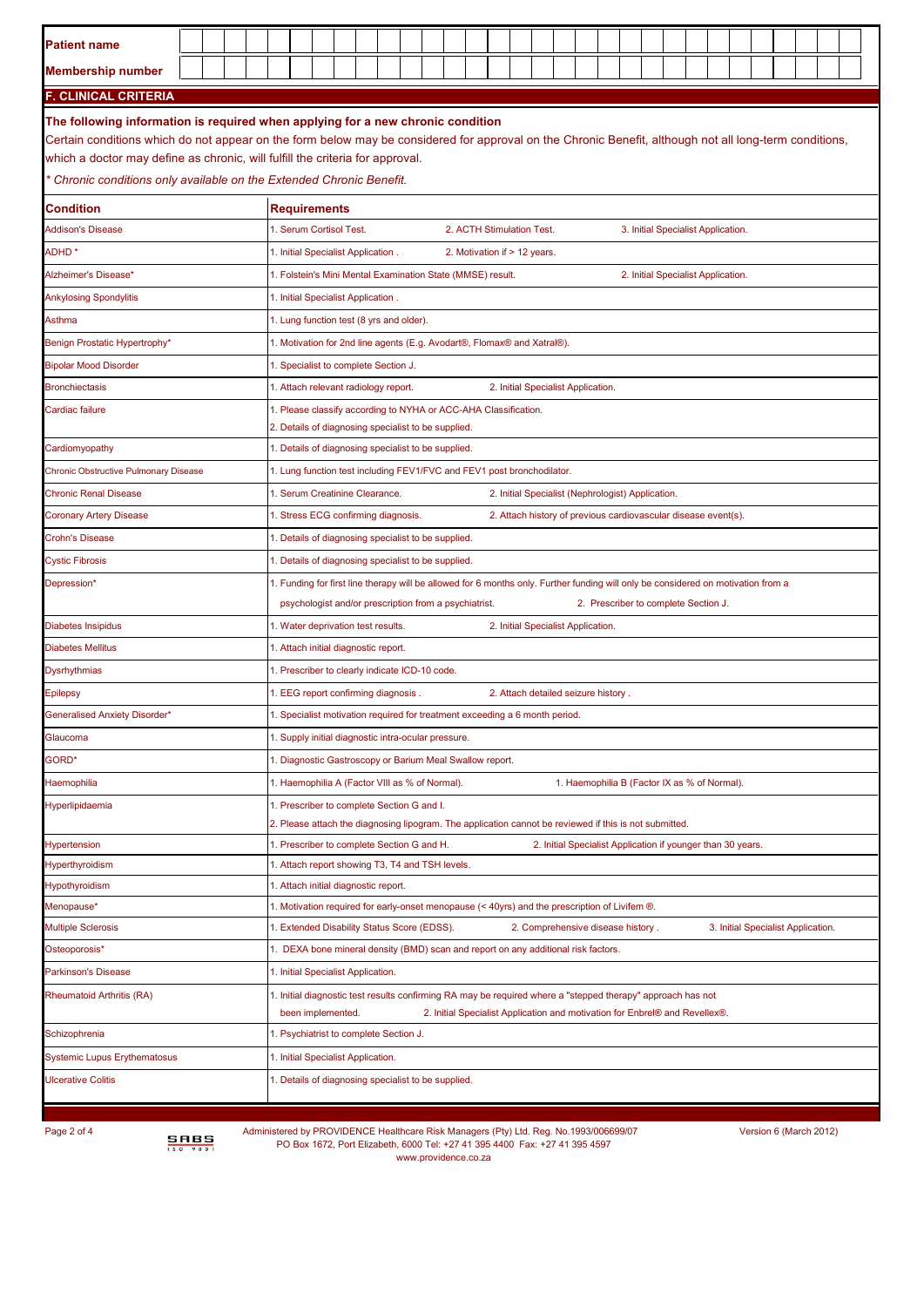| <b>Patient name</b>                   |      |  |                                                                                                                                                                                                                                                                                                                                                                                                  |  |  |                                                                                                                                                                       |  |  |  |  |                                                                             |  |  |  |  |  |  |                                                             |                                    |  |  |  |                                    |  |  |
|---------------------------------------|------|--|--------------------------------------------------------------------------------------------------------------------------------------------------------------------------------------------------------------------------------------------------------------------------------------------------------------------------------------------------------------------------------------------------|--|--|-----------------------------------------------------------------------------------------------------------------------------------------------------------------------|--|--|--|--|-----------------------------------------------------------------------------|--|--|--|--|--|--|-------------------------------------------------------------|------------------------------------|--|--|--|------------------------------------|--|--|
| <b>Membership number</b>              |      |  |                                                                                                                                                                                                                                                                                                                                                                                                  |  |  |                                                                                                                                                                       |  |  |  |  |                                                                             |  |  |  |  |  |  |                                                             |                                    |  |  |  |                                    |  |  |
| <b>F. CLINICAL CRITERIA</b>           |      |  |                                                                                                                                                                                                                                                                                                                                                                                                  |  |  |                                                                                                                                                                       |  |  |  |  |                                                                             |  |  |  |  |  |  |                                                             |                                    |  |  |  |                                    |  |  |
|                                       |      |  | The following information is required when applying for a new chronic condition<br>Certain conditions which do not appear on the form below may be considered for approval on the Chronic Benefit, although not all long-term conditions,<br>which a doctor may define as chronic, will fulfill the criteria for approval.<br>Chronic conditions only available on the Extended Chronic Benefit. |  |  |                                                                                                                                                                       |  |  |  |  |                                                                             |  |  |  |  |  |  |                                                             |                                    |  |  |  |                                    |  |  |
| Condition                             |      |  | <b>Requirements</b>                                                                                                                                                                                                                                                                                                                                                                              |  |  |                                                                                                                                                                       |  |  |  |  |                                                                             |  |  |  |  |  |  |                                                             |                                    |  |  |  |                                    |  |  |
| <b>Addison's Disease</b>              |      |  |                                                                                                                                                                                                                                                                                                                                                                                                  |  |  | 1. Serum Cortisol Test.                                                                                                                                               |  |  |  |  | 2. ACTH Stimulation Test.                                                   |  |  |  |  |  |  |                                                             | 3. Initial Specialist Application. |  |  |  |                                    |  |  |
| <b>ADHD*</b>                          |      |  |                                                                                                                                                                                                                                                                                                                                                                                                  |  |  | 1. Initial Specialist Application.                                                                                                                                    |  |  |  |  | 2. Motivation if > 12 years.                                                |  |  |  |  |  |  |                                                             |                                    |  |  |  |                                    |  |  |
| Alzheimer's Disease*                  |      |  |                                                                                                                                                                                                                                                                                                                                                                                                  |  |  | 1. Folstein's Mini Mental Examination State (MMSE) result.                                                                                                            |  |  |  |  |                                                                             |  |  |  |  |  |  |                                                             | 2. Initial Specialist Application. |  |  |  |                                    |  |  |
| <b>Ankylosing Spondylitis</b>         |      |  |                                                                                                                                                                                                                                                                                                                                                                                                  |  |  | 1. Initial Specialist Application.                                                                                                                                    |  |  |  |  |                                                                             |  |  |  |  |  |  |                                                             |                                    |  |  |  |                                    |  |  |
| Asthma                                |      |  | 1. Lung function test (8 yrs and older).<br>1. Motivation for 2nd line agents (E.g. Avodart®, Flomax® and Xatral®).                                                                                                                                                                                                                                                                              |  |  |                                                                                                                                                                       |  |  |  |  |                                                                             |  |  |  |  |  |  |                                                             |                                    |  |  |  |                                    |  |  |
| Benign Prostatic Hypertrophy*         |      |  | 1. Specialist to complete Section J.                                                                                                                                                                                                                                                                                                                                                             |  |  |                                                                                                                                                                       |  |  |  |  |                                                                             |  |  |  |  |  |  |                                                             |                                    |  |  |  |                                    |  |  |
| <b>Bipolar Mood Disorder</b>          |      |  |                                                                                                                                                                                                                                                                                                                                                                                                  |  |  |                                                                                                                                                                       |  |  |  |  |                                                                             |  |  |  |  |  |  |                                                             |                                    |  |  |  |                                    |  |  |
| <b>Bronchiectasis</b>                 |      |  | 1. Attach relevant radiology report.<br>2. Initial Specialist Application.<br>1. Please classify according to NYHA or ACC-AHA Classification.                                                                                                                                                                                                                                                    |  |  |                                                                                                                                                                       |  |  |  |  |                                                                             |  |  |  |  |  |  |                                                             |                                    |  |  |  |                                    |  |  |
| Cardiac failure                       |      |  |                                                                                                                                                                                                                                                                                                                                                                                                  |  |  |                                                                                                                                                                       |  |  |  |  |                                                                             |  |  |  |  |  |  |                                                             |                                    |  |  |  |                                    |  |  |
| Cardiomyopathy                        |      |  | 2. Details of diagnosing specialist to be supplied.<br>1. Details of diagnosing specialist to be supplied.                                                                                                                                                                                                                                                                                       |  |  |                                                                                                                                                                       |  |  |  |  |                                                                             |  |  |  |  |  |  |                                                             |                                    |  |  |  |                                    |  |  |
| Chronic Obstructive Pulmonary Disease |      |  |                                                                                                                                                                                                                                                                                                                                                                                                  |  |  |                                                                                                                                                                       |  |  |  |  |                                                                             |  |  |  |  |  |  |                                                             |                                    |  |  |  |                                    |  |  |
| <b>Chronic Renal Disease</b>          |      |  | 1. Lung function test including FEV1/FVC and FEV1 post bronchodilator.<br>1. Serum Creatinine Clearance.<br>2. Initial Specialist (Nephrologist) Application.                                                                                                                                                                                                                                    |  |  |                                                                                                                                                                       |  |  |  |  |                                                                             |  |  |  |  |  |  |                                                             |                                    |  |  |  |                                    |  |  |
| <b>Coronary Artery Disease</b>        |      |  | 1. Stress ECG confirming diagnosis.<br>2. Attach history of previous cardiovascular disease event(s).                                                                                                                                                                                                                                                                                            |  |  |                                                                                                                                                                       |  |  |  |  |                                                                             |  |  |  |  |  |  |                                                             |                                    |  |  |  |                                    |  |  |
| <b>Crohn's Disease</b>                |      |  | 1. Details of diagnosing specialist to be supplied.                                                                                                                                                                                                                                                                                                                                              |  |  |                                                                                                                                                                       |  |  |  |  |                                                                             |  |  |  |  |  |  |                                                             |                                    |  |  |  |                                    |  |  |
| <b>Cystic Fibrosis</b>                |      |  | 1. Details of diagnosing specialist to be supplied.                                                                                                                                                                                                                                                                                                                                              |  |  |                                                                                                                                                                       |  |  |  |  |                                                                             |  |  |  |  |  |  |                                                             |                                    |  |  |  |                                    |  |  |
| Depression*                           |      |  | 1. Funding for first line therapy will be allowed for 6 months only. Further funding will only be considered on motivation from a                                                                                                                                                                                                                                                                |  |  |                                                                                                                                                                       |  |  |  |  |                                                                             |  |  |  |  |  |  |                                                             |                                    |  |  |  |                                    |  |  |
|                                       |      |  | psychologist and/or prescription from a psychiatrist.<br>2. Prescriber to complete Section J.                                                                                                                                                                                                                                                                                                    |  |  |                                                                                                                                                                       |  |  |  |  |                                                                             |  |  |  |  |  |  |                                                             |                                    |  |  |  |                                    |  |  |
| Diabetes Insipidus                    |      |  | 1. Water deprivation test results.<br>2. Initial Specialist Application.                                                                                                                                                                                                                                                                                                                         |  |  |                                                                                                                                                                       |  |  |  |  |                                                                             |  |  |  |  |  |  |                                                             |                                    |  |  |  |                                    |  |  |
| <b>Diabetes Mellitus</b>              |      |  | 1. Attach initial diagnostic report.                                                                                                                                                                                                                                                                                                                                                             |  |  |                                                                                                                                                                       |  |  |  |  |                                                                             |  |  |  |  |  |  |                                                             |                                    |  |  |  |                                    |  |  |
| <b>Dysrhythmias</b>                   |      |  | 1. Prescriber to clearly indicate ICD-10 code.                                                                                                                                                                                                                                                                                                                                                   |  |  |                                                                                                                                                                       |  |  |  |  |                                                                             |  |  |  |  |  |  |                                                             |                                    |  |  |  |                                    |  |  |
| Epilepsy                              |      |  | 1. EEG report confirming diagnosis.<br>2. Attach detailed seizure history.                                                                                                                                                                                                                                                                                                                       |  |  |                                                                                                                                                                       |  |  |  |  |                                                                             |  |  |  |  |  |  |                                                             |                                    |  |  |  |                                    |  |  |
| <b>Seneralised Anxiety Disorder*</b>  |      |  | . Specialist motivation required for treatment exceeding a 6 month period.                                                                                                                                                                                                                                                                                                                       |  |  |                                                                                                                                                                       |  |  |  |  |                                                                             |  |  |  |  |  |  |                                                             |                                    |  |  |  |                                    |  |  |
| Glaucoma                              |      |  | 1. Supply initial diagnostic intra-ocular pressure.                                                                                                                                                                                                                                                                                                                                              |  |  |                                                                                                                                                                       |  |  |  |  |                                                                             |  |  |  |  |  |  |                                                             |                                    |  |  |  |                                    |  |  |
| GORD*                                 |      |  | 1. Diagnostic Gastroscopy or Barium Meal Swallow report.                                                                                                                                                                                                                                                                                                                                         |  |  |                                                                                                                                                                       |  |  |  |  |                                                                             |  |  |  |  |  |  |                                                             |                                    |  |  |  |                                    |  |  |
| Haemophilia                           |      |  | 1. Haemophilia A (Factor VIII as % of Normal).<br>1. Haemophilia B (Factor IX as % of Normal).                                                                                                                                                                                                                                                                                                   |  |  |                                                                                                                                                                       |  |  |  |  |                                                                             |  |  |  |  |  |  |                                                             |                                    |  |  |  |                                    |  |  |
| Hyperlipidaemia                       |      |  |                                                                                                                                                                                                                                                                                                                                                                                                  |  |  | 1. Prescriber to complete Section G and I.<br>2. Please attach the diagnosing lipogram. The application cannot be reviewed if this is not submitted.                  |  |  |  |  |                                                                             |  |  |  |  |  |  |                                                             |                                    |  |  |  |                                    |  |  |
| Hypertension                          |      |  |                                                                                                                                                                                                                                                                                                                                                                                                  |  |  | 1. Prescriber to complete Section G and H.                                                                                                                            |  |  |  |  |                                                                             |  |  |  |  |  |  | 2. Initial Specialist Application if younger than 30 years. |                                    |  |  |  |                                    |  |  |
| Hyperthyroidism                       |      |  |                                                                                                                                                                                                                                                                                                                                                                                                  |  |  | 1. Attach report showing T3, T4 and TSH levels.                                                                                                                       |  |  |  |  |                                                                             |  |  |  |  |  |  |                                                             |                                    |  |  |  |                                    |  |  |
| Hypothyroidism                        |      |  |                                                                                                                                                                                                                                                                                                                                                                                                  |  |  | 1. Attach initial diagnostic report.                                                                                                                                  |  |  |  |  |                                                                             |  |  |  |  |  |  |                                                             |                                    |  |  |  |                                    |  |  |
| Menopause*                            |      |  |                                                                                                                                                                                                                                                                                                                                                                                                  |  |  | 1. Motivation required for early-onset menopause (< 40yrs) and the prescription of Livifem ®.                                                                         |  |  |  |  |                                                                             |  |  |  |  |  |  |                                                             |                                    |  |  |  |                                    |  |  |
| <b>Multiple Sclerosis</b>             |      |  |                                                                                                                                                                                                                                                                                                                                                                                                  |  |  | 1. Extended Disability Status Score (EDSS).                                                                                                                           |  |  |  |  |                                                                             |  |  |  |  |  |  | 2. Comprehensive disease history.                           |                                    |  |  |  | 3. Initial Specialist Application. |  |  |
| Osteoporosis*                         |      |  |                                                                                                                                                                                                                                                                                                                                                                                                  |  |  | 1. DEXA bone mineral density (BMD) scan and report on any additional risk factors.                                                                                    |  |  |  |  |                                                                             |  |  |  |  |  |  |                                                             |                                    |  |  |  |                                    |  |  |
| Parkinson's Disease                   |      |  |                                                                                                                                                                                                                                                                                                                                                                                                  |  |  | 1. Initial Specialist Application.                                                                                                                                    |  |  |  |  |                                                                             |  |  |  |  |  |  |                                                             |                                    |  |  |  |                                    |  |  |
| <b>Rheumatoid Arthritis (RA)</b>      |      |  |                                                                                                                                                                                                                                                                                                                                                                                                  |  |  | 1. Initial diagnostic test results confirming RA may be required where a "stepped therapy" approach has not<br>been implemented.                                      |  |  |  |  | 2. Initial Specialist Application and motivation for Enbrel® and Revellex®. |  |  |  |  |  |  |                                                             |                                    |  |  |  |                                    |  |  |
| Schizophrenia                         |      |  |                                                                                                                                                                                                                                                                                                                                                                                                  |  |  | 1. Psychiatrist to complete Section J.                                                                                                                                |  |  |  |  |                                                                             |  |  |  |  |  |  |                                                             |                                    |  |  |  |                                    |  |  |
| <b>Systemic Lupus Erythematosus</b>   |      |  |                                                                                                                                                                                                                                                                                                                                                                                                  |  |  | 1. Initial Specialist Application.                                                                                                                                    |  |  |  |  |                                                                             |  |  |  |  |  |  |                                                             |                                    |  |  |  |                                    |  |  |
| <b>JIcerative Colitis</b>             |      |  |                                                                                                                                                                                                                                                                                                                                                                                                  |  |  | 1. Details of diagnosing specialist to be supplied.                                                                                                                   |  |  |  |  |                                                                             |  |  |  |  |  |  |                                                             |                                    |  |  |  |                                    |  |  |
|                                       |      |  |                                                                                                                                                                                                                                                                                                                                                                                                  |  |  |                                                                                                                                                                       |  |  |  |  |                                                                             |  |  |  |  |  |  |                                                             |                                    |  |  |  |                                    |  |  |
|                                       |      |  |                                                                                                                                                                                                                                                                                                                                                                                                  |  |  |                                                                                                                                                                       |  |  |  |  |                                                                             |  |  |  |  |  |  |                                                             |                                    |  |  |  |                                    |  |  |
| Page 2 of 4                           | SABS |  |                                                                                                                                                                                                                                                                                                                                                                                                  |  |  | Administered by PROVIDENCE Healthcare Risk Managers (Pty) Ltd. Reg. No.1993/006699/07<br>BO Boy 1672, Bort Elizabeth, 6000 Tol: +27 41 205 4400. Eoy: +27 41 205 4507 |  |  |  |  |                                                                             |  |  |  |  |  |  |                                                             |                                    |  |  |  | Version 6 (March 2012)             |  |  |

 $\frac{1}{20}$  PO Box 1672, Port Elizabeth, 6000 Tel: +27 41 395 4400 Fax: +27 41 395 4597 www.providence.co.za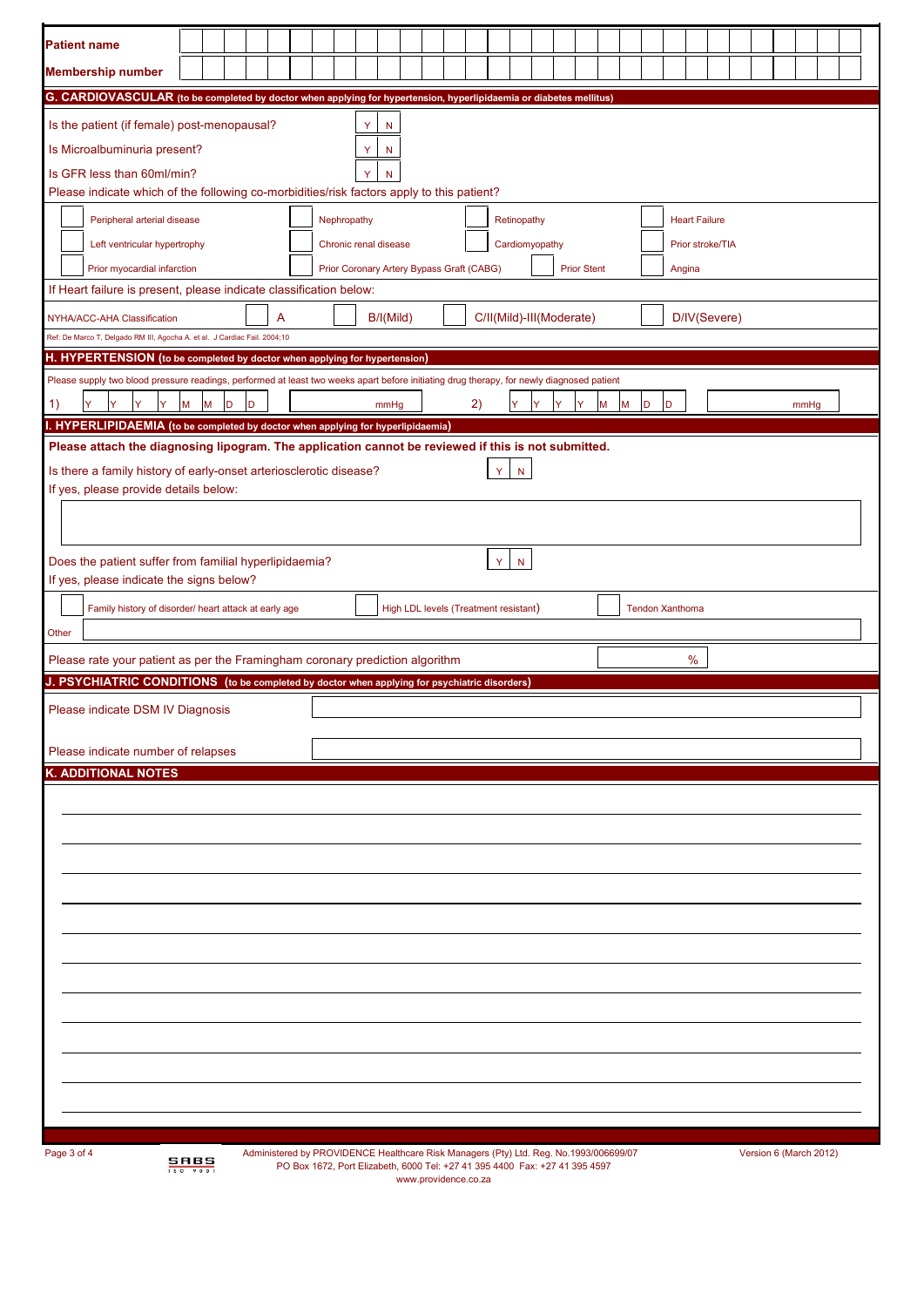| <b>Patient name</b>                                                                                                                                                           |                  |   |        |                                                                                       |                                                                 |  |                       |      |  |  |                                                                                                     |   |                |  |  |  |        |   |                        |   |   |                      |  |  |                        |      |  |  |  |
|-------------------------------------------------------------------------------------------------------------------------------------------------------------------------------|------------------|---|--------|---------------------------------------------------------------------------------------|-----------------------------------------------------------------|--|-----------------------|------|--|--|-----------------------------------------------------------------------------------------------------|---|----------------|--|--|--|--------|---|------------------------|---|---|----------------------|--|--|------------------------|------|--|--|--|
|                                                                                                                                                                               |                  |   |        |                                                                                       |                                                                 |  |                       |      |  |  |                                                                                                     |   |                |  |  |  |        |   |                        |   |   |                      |  |  |                        |      |  |  |  |
| <b>Membership number</b>                                                                                                                                                      |                  |   |        |                                                                                       |                                                                 |  |                       |      |  |  |                                                                                                     |   |                |  |  |  |        |   |                        |   |   |                      |  |  |                        |      |  |  |  |
| G. CARDIOVASCULAR (to be completed by doctor when applying for hypertension, hyperlipidaemia or diabetes mellitus)                                                            |                  |   |        |                                                                                       |                                                                 |  |                       |      |  |  |                                                                                                     |   |                |  |  |  |        |   |                        |   |   |                      |  |  |                        |      |  |  |  |
| Is the patient (if female) post-menopausal?                                                                                                                                   |                  |   |        |                                                                                       |                                                                 |  | Y                     | N    |  |  |                                                                                                     |   |                |  |  |  |        |   |                        |   |   |                      |  |  |                        |      |  |  |  |
| Is Microalbuminuria present?                                                                                                                                                  |                  |   |        |                                                                                       |                                                                 |  | Y                     | N    |  |  |                                                                                                     |   |                |  |  |  |        |   |                        |   |   |                      |  |  |                        |      |  |  |  |
| Is GFR less than 60ml/min?<br>Please indicate which of the following co-morbidities/risk factors apply to this patient?                                                       |                  |   |        |                                                                                       |                                                                 |  |                       |      |  |  |                                                                                                     |   |                |  |  |  |        |   |                        |   |   |                      |  |  |                        |      |  |  |  |
|                                                                                                                                                                               |                  |   |        |                                                                                       |                                                                 |  |                       |      |  |  |                                                                                                     |   |                |  |  |  |        |   |                        |   |   |                      |  |  |                        |      |  |  |  |
| Peripheral arterial disease                                                                                                                                                   |                  |   |        |                                                                                       |                                                                 |  | Nephropathy           |      |  |  |                                                                                                     |   | Retinopathy    |  |  |  |        |   |                        |   |   | <b>Heart Failure</b> |  |  |                        |      |  |  |  |
| Left ventricular hypertrophy                                                                                                                                                  |                  |   |        |                                                                                       |                                                                 |  | Chronic renal disease |      |  |  |                                                                                                     |   | Cardiomyopathy |  |  |  |        |   |                        |   |   | Prior stroke/TIA     |  |  |                        |      |  |  |  |
| Prior myocardial infarction<br>If Heart failure is present, please indicate classification below:                                                                             |                  |   |        |                                                                                       | Prior Coronary Artery Bypass Graft (CABG)<br><b>Prior Stent</b> |  |                       |      |  |  |                                                                                                     |   |                |  |  |  | Angina |   |                        |   |   |                      |  |  |                        |      |  |  |  |
|                                                                                                                                                                               |                  |   |        |                                                                                       | B/I(Mild)<br>C/II(Mild)-III(Moderate)<br>D/IV(Severe)           |  |                       |      |  |  |                                                                                                     |   |                |  |  |  |        |   |                        |   |   |                      |  |  |                        |      |  |  |  |
| NYHA/ACC-AHA Classification<br>Ref: De Marco T, Delgado RM III, Agocha A. et al. J Cardiac Fail. 2004;10                                                                      |                  |   |        | A                                                                                     |                                                                 |  |                       |      |  |  |                                                                                                     |   |                |  |  |  |        |   |                        |   |   |                      |  |  |                        |      |  |  |  |
| H. HYPERTENSION (to be completed by doctor when applying for hypertension)                                                                                                    |                  |   |        |                                                                                       |                                                                 |  |                       |      |  |  |                                                                                                     |   |                |  |  |  |        |   |                        |   |   |                      |  |  |                        |      |  |  |  |
| Please supply two blood pressure readings, performed at least two weeks apart before initiating drug therapy, for newly diagnosed patient                                     |                  |   |        |                                                                                       |                                                                 |  |                       |      |  |  |                                                                                                     |   |                |  |  |  |        |   |                        |   |   |                      |  |  |                        |      |  |  |  |
| Y<br>Y<br>Y<br>Y.<br>1)                                                                                                                                                       | M                | M | D<br>D |                                                                                       |                                                                 |  |                       | mmHq |  |  | 2)                                                                                                  |   | Y              |  |  |  | М      | М | D                      | D |   |                      |  |  |                        | mmHq |  |  |  |
| I. HYPERLIPIDAEMIA (to be completed by doctor when applying for hyperlipidaemia)                                                                                              |                  |   |        |                                                                                       |                                                                 |  |                       |      |  |  |                                                                                                     |   |                |  |  |  |        |   |                        |   |   |                      |  |  |                        |      |  |  |  |
| Please attach the diagnosing lipogram. The application cannot be reviewed if this is not submitted.                                                                           |                  |   |        |                                                                                       |                                                                 |  |                       |      |  |  |                                                                                                     |   |                |  |  |  |        |   |                        |   |   |                      |  |  |                        |      |  |  |  |
| Is there a family history of early-onset arteriosclerotic disease?                                                                                                            |                  |   |        |                                                                                       |                                                                 |  |                       |      |  |  |                                                                                                     | Y | N              |  |  |  |        |   |                        |   |   |                      |  |  |                        |      |  |  |  |
| If yes, please provide details below:                                                                                                                                         |                  |   |        |                                                                                       |                                                                 |  |                       |      |  |  |                                                                                                     |   |                |  |  |  |        |   |                        |   |   |                      |  |  |                        |      |  |  |  |
|                                                                                                                                                                               |                  |   |        |                                                                                       |                                                                 |  |                       |      |  |  |                                                                                                     |   |                |  |  |  |        |   |                        |   |   |                      |  |  |                        |      |  |  |  |
|                                                                                                                                                                               |                  |   |        |                                                                                       |                                                                 |  |                       |      |  |  |                                                                                                     |   |                |  |  |  |        |   |                        |   |   |                      |  |  |                        |      |  |  |  |
| Does the patient suffer from familial hyperlipidaemia?<br>If yes, please indicate the signs below?                                                                            |                  |   |        |                                                                                       |                                                                 |  |                       |      |  |  |                                                                                                     |   | Y.<br>N        |  |  |  |        |   |                        |   |   |                      |  |  |                        |      |  |  |  |
|                                                                                                                                                                               |                  |   |        |                                                                                       |                                                                 |  |                       |      |  |  |                                                                                                     |   |                |  |  |  |        |   | <b>Tendon Xanthoma</b> |   |   |                      |  |  |                        |      |  |  |  |
| Family history of disorder/ heart attack at early age<br>Other                                                                                                                |                  |   |        |                                                                                       |                                                                 |  |                       |      |  |  | High LDL levels (Treatment resistant)                                                               |   |                |  |  |  |        |   |                        |   |   |                      |  |  |                        |      |  |  |  |
|                                                                                                                                                                               |                  |   |        |                                                                                       |                                                                 |  |                       |      |  |  |                                                                                                     |   |                |  |  |  |        |   |                        |   |   |                      |  |  |                        |      |  |  |  |
| Please rate your patient as per the Framingham coronary prediction algorithm<br>J. PSYCHIATRIC CONDITIONS (to be completed by doctor when applying for psychiatric disorders) |                  |   |        |                                                                                       |                                                                 |  |                       |      |  |  |                                                                                                     |   |                |  |  |  |        |   |                        |   | % |                      |  |  |                        |      |  |  |  |
|                                                                                                                                                                               |                  |   |        |                                                                                       |                                                                 |  |                       |      |  |  |                                                                                                     |   |                |  |  |  |        |   |                        |   |   |                      |  |  |                        |      |  |  |  |
| Please indicate DSM IV Diagnosis                                                                                                                                              |                  |   |        |                                                                                       |                                                                 |  |                       |      |  |  |                                                                                                     |   |                |  |  |  |        |   |                        |   |   |                      |  |  |                        |      |  |  |  |
| Please indicate number of relapses                                                                                                                                            |                  |   |        |                                                                                       |                                                                 |  |                       |      |  |  |                                                                                                     |   |                |  |  |  |        |   |                        |   |   |                      |  |  |                        |      |  |  |  |
| <b>K. ADDITIONAL NOTES</b>                                                                                                                                                    |                  |   |        |                                                                                       |                                                                 |  |                       |      |  |  |                                                                                                     |   |                |  |  |  |        |   |                        |   |   |                      |  |  |                        |      |  |  |  |
|                                                                                                                                                                               |                  |   |        |                                                                                       |                                                                 |  |                       |      |  |  |                                                                                                     |   |                |  |  |  |        |   |                        |   |   |                      |  |  |                        |      |  |  |  |
|                                                                                                                                                                               |                  |   |        |                                                                                       |                                                                 |  |                       |      |  |  |                                                                                                     |   |                |  |  |  |        |   |                        |   |   |                      |  |  |                        |      |  |  |  |
|                                                                                                                                                                               |                  |   |        |                                                                                       |                                                                 |  |                       |      |  |  |                                                                                                     |   |                |  |  |  |        |   |                        |   |   |                      |  |  |                        |      |  |  |  |
|                                                                                                                                                                               |                  |   |        |                                                                                       |                                                                 |  |                       |      |  |  |                                                                                                     |   |                |  |  |  |        |   |                        |   |   |                      |  |  |                        |      |  |  |  |
|                                                                                                                                                                               |                  |   |        |                                                                                       |                                                                 |  |                       |      |  |  |                                                                                                     |   |                |  |  |  |        |   |                        |   |   |                      |  |  |                        |      |  |  |  |
|                                                                                                                                                                               |                  |   |        |                                                                                       |                                                                 |  |                       |      |  |  |                                                                                                     |   |                |  |  |  |        |   |                        |   |   |                      |  |  |                        |      |  |  |  |
|                                                                                                                                                                               |                  |   |        |                                                                                       |                                                                 |  |                       |      |  |  |                                                                                                     |   |                |  |  |  |        |   |                        |   |   |                      |  |  |                        |      |  |  |  |
|                                                                                                                                                                               |                  |   |        |                                                                                       |                                                                 |  |                       |      |  |  |                                                                                                     |   |                |  |  |  |        |   |                        |   |   |                      |  |  |                        |      |  |  |  |
|                                                                                                                                                                               |                  |   |        |                                                                                       |                                                                 |  |                       |      |  |  |                                                                                                     |   |                |  |  |  |        |   |                        |   |   |                      |  |  |                        |      |  |  |  |
|                                                                                                                                                                               |                  |   |        |                                                                                       |                                                                 |  |                       |      |  |  |                                                                                                     |   |                |  |  |  |        |   |                        |   |   |                      |  |  |                        |      |  |  |  |
|                                                                                                                                                                               |                  |   |        |                                                                                       |                                                                 |  |                       |      |  |  |                                                                                                     |   |                |  |  |  |        |   |                        |   |   |                      |  |  |                        |      |  |  |  |
|                                                                                                                                                                               |                  |   |        |                                                                                       |                                                                 |  |                       |      |  |  |                                                                                                     |   |                |  |  |  |        |   |                        |   |   |                      |  |  |                        |      |  |  |  |
|                                                                                                                                                                               |                  |   |        |                                                                                       |                                                                 |  |                       |      |  |  |                                                                                                     |   |                |  |  |  |        |   |                        |   |   |                      |  |  |                        |      |  |  |  |
|                                                                                                                                                                               |                  |   |        |                                                                                       |                                                                 |  |                       |      |  |  |                                                                                                     |   |                |  |  |  |        |   |                        |   |   |                      |  |  |                        |      |  |  |  |
|                                                                                                                                                                               |                  |   |        |                                                                                       |                                                                 |  |                       |      |  |  |                                                                                                     |   |                |  |  |  |        |   |                        |   |   |                      |  |  |                        |      |  |  |  |
| Page 3 of 4                                                                                                                                                                   | SABS<br>150 9001 |   |        | Administered by PROVIDENCE Healthcare Risk Managers (Pty) Ltd. Reg. No.1993/006699/07 |                                                                 |  |                       |      |  |  | PO Box 1672, Port Elizabeth, 6000 Tel: +27 41 395 4400 Fax: +27 41 395 4597<br>www.providence.co.za |   |                |  |  |  |        |   |                        |   |   |                      |  |  | Version 6 (March 2012) |      |  |  |  |